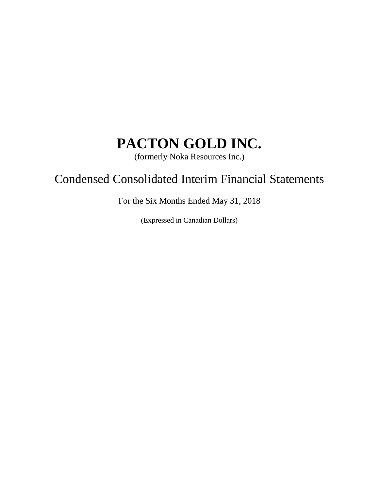(formerly Noka Resources Inc.)

# Condensed Consolidated Interim Financial Statements

For the Six Months Ended May 31, 2018

(Expressed in Canadian Dollars)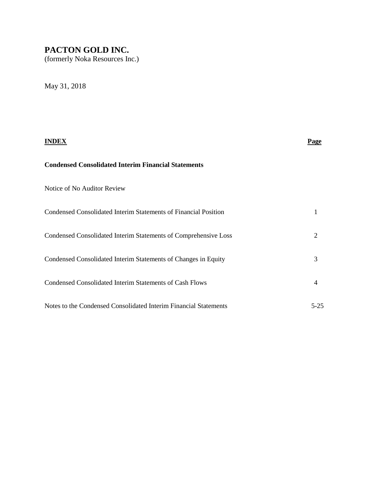(formerly Noka Resources Inc.)

May 31, 2018

|                                                                  | Page           |
|------------------------------------------------------------------|----------------|
| <b>Condensed Consolidated Interim Financial Statements</b>       |                |
| Notice of No Auditor Review                                      |                |
| Condensed Consolidated Interim Statements of Financial Position  | 1              |
| Condensed Consolidated Interim Statements of Comprehensive Loss  | $\overline{2}$ |
| Condensed Consolidated Interim Statements of Changes in Equity   | 3              |
| <b>Condensed Consolidated Interim Statements of Cash Flows</b>   | 4              |
| Notes to the Condensed Consolidated Interim Financial Statements | $5-25$         |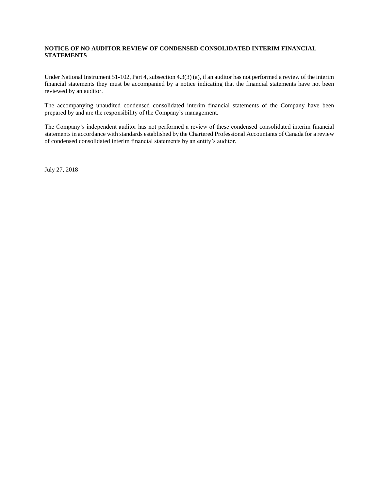#### **NOTICE OF NO AUDITOR REVIEW OF CONDENSED CONSOLIDATED INTERIM FINANCIAL STATEMENTS**

Under National Instrument 51-102, Part 4, subsection 4.3(3) (a), if an auditor has not performed a review of the interim financial statements they must be accompanied by a notice indicating that the financial statements have not been reviewed by an auditor.

The accompanying unaudited condensed consolidated interim financial statements of the Company have been prepared by and are the responsibility of the Company's management.

The Company's independent auditor has not performed a review of these condensed consolidated interim financial statements in accordance with standards established by the Chartered Professional Accountants of Canada for a review of condensed consolidated interim financial statements by an entity's auditor.

July 27, 2018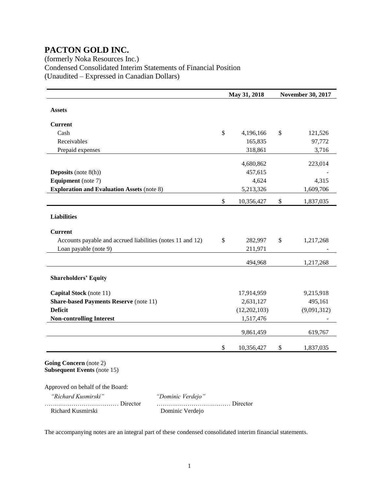### (formerly Noka Resources Inc.) Condensed Consolidated Interim Statements of Financial Position (Unaudited – Expressed in Canadian Dollars)

|                                                            | May 31, 2018  |              | <b>November 30, 2017</b> |             |  |
|------------------------------------------------------------|---------------|--------------|--------------------------|-------------|--|
| <b>Assets</b>                                              |               |              |                          |             |  |
| <b>Current</b>                                             |               |              |                          |             |  |
| Cash                                                       | $\mathbb{S}$  | 4,196,166    | \$                       | 121,526     |  |
| Receivables                                                |               | 165,835      |                          | 97,772      |  |
| Prepaid expenses                                           |               | 318,861      |                          | 3,716       |  |
|                                                            |               | 4,680,862    |                          | 223,014     |  |
| <b>Deposits</b> (note $8(h)$ )                             |               | 457,615      |                          |             |  |
| <b>Equipment</b> (note 7)                                  |               | 4,624        |                          | 4,315       |  |
| <b>Exploration and Evaluation Assets (note 8)</b>          |               | 5,213,326    |                          | 1,609,706   |  |
|                                                            | $\mathcal{S}$ | 10,356,427   | $\$$                     | 1,837,035   |  |
| <b>Liabilities</b>                                         |               |              |                          |             |  |
| <b>Current</b>                                             |               |              |                          |             |  |
| Accounts payable and accrued liabilities (notes 11 and 12) | $\mathcal{S}$ | 282,997      | \$                       | 1,217,268   |  |
| Loan payable (note 9)                                      |               | 211,971      |                          |             |  |
|                                                            |               | 494,968      |                          | 1,217,268   |  |
| <b>Shareholders' Equity</b>                                |               |              |                          |             |  |
| Capital Stock (note 11)                                    |               | 17,914,959   |                          | 9,215,918   |  |
| <b>Share-based Payments Reserve (note 11)</b>              |               | 2,631,127    |                          | 495,161     |  |
| <b>Deficit</b>                                             |               | (12,202,103) |                          | (9,091,312) |  |
| <b>Non-controlling Interest</b>                            |               | 1,517,476    |                          |             |  |
|                                                            |               | 9,861,459    |                          | 619,767     |  |
|                                                            | \$            | 10,356,427   | \$                       | 1,837,035   |  |

**Subsequent Events** (note 15)

Approved on behalf of the Board:

| "Richard Kusmirski" | <i>"Dominic</i> |
|---------------------|-----------------|
|                     | .               |
| Richard Kusmirski   | Domini          |

 *"Richard Kusmirski" "Dominic Verdejo"* ……………………………… Director ……………………………… Director ic Verdejo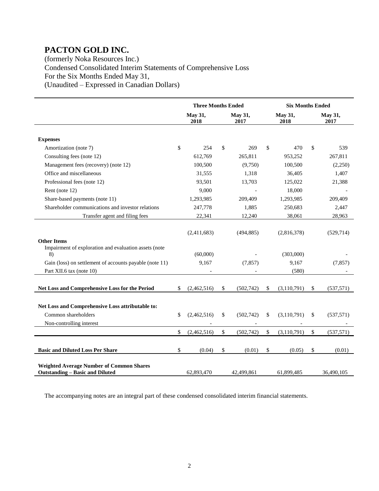(formerly Noka Resources Inc.) Condensed Consolidated Interim Statements of Comprehensive Loss For the Six Months Ended May 31, (Unaudited – Expressed in Canadian Dollars)

|                                                                                           | <b>Three Months Ended</b> |                 |    |                 | <b>Six Months Ended</b> |                 |                        |            |
|-------------------------------------------------------------------------------------------|---------------------------|-----------------|----|-----------------|-------------------------|-----------------|------------------------|------------|
|                                                                                           |                           | May 31,<br>2018 |    | May 31,<br>2017 |                         | May 31,<br>2018 | <b>May 31,</b><br>2017 |            |
| <b>Expenses</b>                                                                           |                           |                 |    |                 |                         |                 |                        |            |
| Amortization (note 7)                                                                     | \$                        | 254             | \$ | 269             | \$                      | 470             | \$                     | 539        |
| Consulting fees (note 12)                                                                 |                           | 612,769         |    | 265,811         |                         | 953,252         |                        | 267,811    |
| Management fees (recovery) (note 12)                                                      |                           | 100,500         |    | (9,750)         |                         | 100,500         |                        | (2,250)    |
| Office and miscellaneous                                                                  |                           | 31,555          |    | 1,318           |                         | 36,405          |                        | 1,407      |
| Professional fees (note 12)                                                               |                           | 93,501          |    | 13,703          |                         | 125,022         |                        | 21,388     |
| Rent (note 12)                                                                            |                           | 9,000           |    |                 |                         | 18,000          |                        |            |
| Share-based payments (note 11)                                                            |                           | 1,293,985       |    | 209,409         |                         | 1,293,985       |                        | 209,409    |
| Shareholder communications and investor relations                                         |                           | 247,778         |    | 1,885           |                         | 250,683         |                        | 2,447      |
| Transfer agent and filing fees                                                            |                           | 22,341          |    | 12,240          |                         | 38,061          |                        | 28,963     |
| <b>Other Items</b>                                                                        |                           | (2,411,683)     |    | (494, 885)      |                         | (2,816,378)     |                        | (529, 714) |
| Impairment of exploration and evaluation assets (note<br>8)                               |                           | (60,000)        |    |                 |                         | (303,000)       |                        |            |
| Gain (loss) on settlement of accounts payable (note 11)                                   |                           | 9,167           |    | (7, 857)        |                         | 9,167           |                        | (7, 857)   |
| Part XII.6 tax (note 10)                                                                  |                           |                 |    |                 |                         | (580)           |                        |            |
| Net Loss and Comprehensive Loss for the Period                                            | \$                        | (2,462,516)     | \$ | (502,742)       | \$                      | (3,110,791)     | \$                     | (537, 571) |
| Net Loss and Comprehensive Loss attributable to:                                          |                           |                 |    |                 |                         |                 |                        |            |
| Common shareholders                                                                       | \$                        | (2,462,516)     | \$ | (502,742)       | \$                      | (3,110,791)     | \$                     | (537, 571) |
| Non-controlling interest                                                                  |                           |                 |    |                 |                         |                 |                        |            |
|                                                                                           | \$                        | (2,462,516)     | \$ | (502, 742)      | \$                      | (3,110,791)     | \$                     | (537, 571) |
| <b>Basic and Diluted Loss Per Share</b>                                                   | \$                        | (0.04)          | \$ | (0.01)          | \$                      | (0.05)          | \$                     | (0.01)     |
| <b>Weighted Average Number of Common Shares</b><br><b>Outstanding - Basic and Diluted</b> |                           | 62,893,470      |    | 42,499,861      |                         | 61,899,485      |                        | 36,490,105 |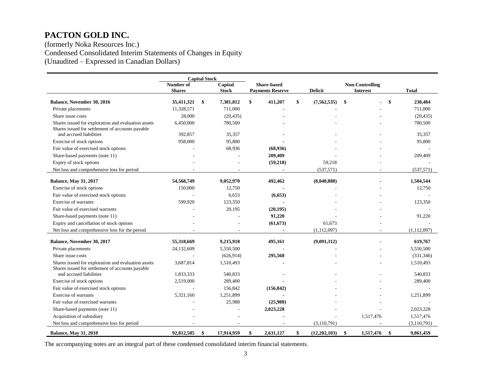(formerly Noka Resources Inc.) Condensed Consolidated Interim Statements of Changes in Equity (Unaudited – Expressed in Canadian Dollars)

|                                                                                                         | <b>Capital Stock</b> |    |                          |                    |                         |    |                |                        |                 |                 |
|---------------------------------------------------------------------------------------------------------|----------------------|----|--------------------------|--------------------|-------------------------|----|----------------|------------------------|-----------------|-----------------|
|                                                                                                         | Number of            |    | Capital                  | <b>Share-based</b> |                         |    |                | <b>Non-Controlling</b> |                 |                 |
|                                                                                                         | <b>Shares</b>        |    | <b>Stock</b>             |                    | <b>Payments Reserve</b> |    | <b>Deficit</b> |                        | <b>Interest</b> | <b>Total</b>    |
| Balance, November 30, 2016                                                                              | 35,411,321           | \$ | 7,381,812                | \$                 | 411,207                 | \$ | (7, 562, 535)  | \$                     |                 | \$<br>230,484   |
| Private placements                                                                                      | 11,328,571           |    | 711,000                  |                    |                         |    |                |                        |                 | 711,000         |
| Share issue costs                                                                                       | 28,000               |    | (20, 435)                |                    |                         |    |                |                        |                 | (20, 435)       |
| Shares issued for exploration and evaluation assets<br>Shares issued for settlement of accounts payable | 6,450,000            |    | 780,500                  |                    |                         |    |                |                        |                 | 780,500         |
| and accrued liabilities                                                                                 | 392,857              |    | 35,357                   |                    |                         |    |                |                        |                 | 35,357          |
| Exercise of stock options                                                                               | 958,000              |    | 95,800                   |                    |                         |    |                |                        |                 | 95,800          |
| Fair value of exercised stock options                                                                   |                      |    | 68,936                   |                    | (68,936)                |    |                |                        |                 |                 |
| Share-based payments (note 11)                                                                          |                      |    |                          |                    | 209,409                 |    |                |                        |                 | 209,409         |
| Expiry of stock options                                                                                 |                      |    |                          |                    | (59,218)                |    | 59,218         |                        |                 |                 |
| Net loss and comprehensive loss for period                                                              |                      |    | $\overline{\phantom{a}}$ |                    |                         |    | (537, 571)     |                        |                 | (537, 571)      |
| <b>Balance, May 31, 2017</b>                                                                            | 54,568,749           |    | 9,052,970                |                    | 492,462                 |    | (8,040,888)    |                        |                 | 1,504,544       |
| Exercise of stock options                                                                               | 150,000              |    | 12,750                   |                    |                         |    |                |                        |                 | 12,750          |
| Fair value of exercised stock options                                                                   |                      |    | 6,653                    |                    | (6, 653)                |    |                |                        |                 |                 |
| <b>Exercise of warrants</b>                                                                             | 599,920              |    | 123,350                  |                    |                         |    |                |                        |                 | 123,350         |
| Fair value of exercised warrants                                                                        |                      |    | 20,195                   |                    | (20, 195)               |    |                |                        |                 |                 |
| Share-based payments (note 11)                                                                          |                      |    |                          |                    | 91,220                  |    |                |                        |                 | 91,220          |
| Expiry and cancellation of stock options                                                                |                      |    |                          |                    | (61, 673)               |    | 61,673         |                        |                 |                 |
| Net loss and comprehensive loss for the period                                                          |                      |    |                          |                    |                         |    | (1, 112, 097)  |                        |                 | (1, 112, 097)   |
|                                                                                                         |                      |    |                          |                    |                         |    |                |                        |                 |                 |
| Balance, November 30, 2017                                                                              | 55,318,669           |    | 9,215,918                |                    | 495,161                 |    | (9,091,312)    |                        |                 | 619,767         |
| Private placements                                                                                      | 24,132,609           |    | 5,550,500                |                    |                         |    |                |                        |                 | 5,550,500       |
| Share issue costs                                                                                       |                      |    | (626, 914)               |                    | 295,568                 |    |                |                        |                 | (331, 346)      |
| Shares issued for exploration and evaluation assets<br>Shares issued for settlement of accounts payable | 3,687,814            |    | 1,510,493                |                    |                         |    |                |                        |                 | 1,510,493       |
| and accrued liabilities                                                                                 | 1,833,333            |    | 540,833                  |                    |                         |    |                |                        |                 | 540,833         |
| Exercise of stock options                                                                               | 2,519,000            |    | 289,400                  |                    |                         |    |                |                        |                 | 289,400         |
| Fair value of exercised stock options                                                                   |                      |    | 156,842                  |                    | (156, 842)              |    |                |                        |                 |                 |
| <b>Exercise of warrants</b>                                                                             | 5.321.160            |    | 1,251,899                |                    |                         |    |                |                        |                 | 1,251,899       |
| Fair value of exercised warrants                                                                        |                      |    | 25,988                   |                    | (25,988)                |    |                |                        |                 |                 |
| Share-based payments (note 11)                                                                          |                      |    |                          |                    | 2,023,228               |    |                |                        |                 | 2,023,228       |
| Acquisition of subsidiary                                                                               |                      |    |                          |                    |                         |    |                |                        | 1,517,476       | 1,517,476       |
| Net loss and comprehensive loss for period                                                              |                      |    |                          |                    |                         |    | (3,110,791)    |                        |                 | (3,110,791)     |
| <b>Balance, May 31, 2018</b>                                                                            | 92,812,585           | \$ | 17,914,959               | \$                 | 2,631,127               | \$ | (12,202,103)   | \$                     | 1,517,476       | \$<br>9,861,459 |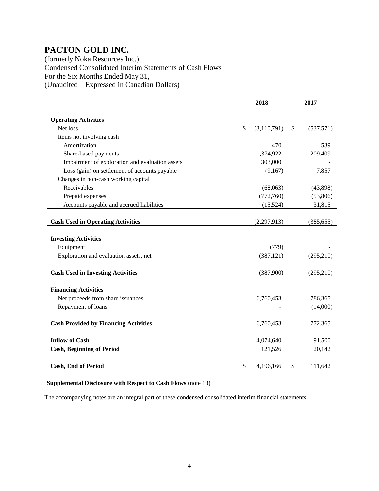(formerly Noka Resources Inc.) Condensed Consolidated Interim Statements of Cash Flows For the Six Months Ended May 31, (Unaudited – Expressed in Canadian Dollars)

|                                                 | 2018              | 2017             |
|-------------------------------------------------|-------------------|------------------|
|                                                 |                   |                  |
| <b>Operating Activities</b>                     |                   |                  |
| Net loss                                        | \$<br>(3,110,791) | \$<br>(537, 571) |
| Items not involving cash                        |                   |                  |
| Amortization                                    | 470               | 539              |
| Share-based payments                            | 1,374,922         | 209,409          |
| Impairment of exploration and evaluation assets | 303,000           |                  |
| Loss (gain) on settlement of accounts payable   | (9,167)           | 7,857            |
| Changes in non-cash working capital             |                   |                  |
| Receivables                                     | (68,063)          | (43,898)         |
| Prepaid expenses                                | (772,760)         | (53,806)         |
| Accounts payable and accrued liabilities        | (15, 524)         | 31,815           |
|                                                 |                   |                  |
| <b>Cash Used in Operating Activities</b>        | (2, 297, 913)     | (385, 655)       |
|                                                 |                   |                  |
| <b>Investing Activities</b>                     |                   |                  |
| Equipment                                       | (779)             |                  |
| Exploration and evaluation assets, net          | (387, 121)        | (295, 210)       |
|                                                 |                   |                  |
| <b>Cash Used in Investing Activities</b>        | (387,900)         | (295, 210)       |
|                                                 |                   |                  |
| <b>Financing Activities</b>                     |                   |                  |
| Net proceeds from share issuances               | 6,760,453         | 786,365          |
| Repayment of loans                              |                   | (14,000)         |
|                                                 |                   |                  |
| <b>Cash Provided by Financing Activities</b>    | 6,760,453         | 772,365          |
|                                                 |                   |                  |
| <b>Inflow of Cash</b>                           | 4,074,640         | 91,500           |
| <b>Cash, Beginning of Period</b>                | 121,526           | 20,142           |
|                                                 |                   |                  |
| <b>Cash, End of Period</b>                      | \$<br>4,196,166   | \$<br>111,642    |

#### **Supplemental Disclosure with Respect to Cash Flows** (note 13)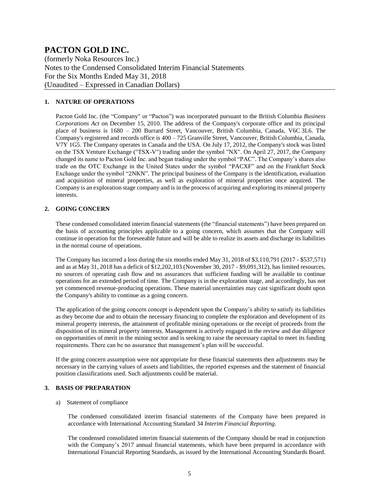(formerly Noka Resources Inc.) Notes to the Condensed Consolidated Interim Financial Statements For the Six Months Ended May 31, 2018 (Unaudited – Expressed in Canadian Dollars)

#### **1. NATURE OF OPERATIONS**

Pacton Gold Inc. (the "Company" or "Pacton") was incorporated pursuant to the British Columbia *Business Corporations Act* on December 15, 2010. The address of the Company's corporate office and its principal place of business is 1680 – 200 Burrard Street, Vancouver, British Columbia, Canada, V6C 3L6. The Company's registered and records office is  $400 - 725$  Granville Street, Vancouver, British Columbia, Canada, V7Y 1G5. The Company operates in Canada and the USA. On July 17, 2012, the Company's stock was listed on the TSX Venture Exchange ("TSX-V") trading under the symbol "NX". On April 27, 2017, the Company changed its name to Pacton Gold Inc. and began trading under the symbol "PAC". The Company's shares also trade on the OTC Exchange in the United States under the symbol "PACXF" and on the Frankfurt Stock Exchange under the symbol "2NKN". The principal business of the Company is the identification, evaluation and acquisition of mineral properties, as well as exploration of mineral properties once acquired. The Company is an exploration stage company and is in the process of acquiring and exploring its mineral property interests.

#### **2. GOING CONCERN**

These condensed consolidated interim financial statements (the "financial statements") have been prepared on the basis of accounting principles applicable to a going concern, which assumes that the Company will continue in operation for the foreseeable future and will be able to realize its assets and discharge its liabilities in the normal course of operations.

The Company has incurred a loss during the six months ended May 31, 2018 of \$3,110,791 (2017 - \$537,571) and as at May 31, 2018 has a deficit of \$12,202,103 (November 30, 2017 - \$9,091,312), has limited resources, no sources of operating cash flow and no assurances that sufficient funding will be available to continue operations for an extended period of time. The Company is in the exploration stage, and accordingly, has not yet commenced revenue-producing operations. These material uncertainties may cast significant doubt upon the Company's ability to continue as a going concern.

The application of the going concern concept is dependent upon the Company's ability to satisfy its liabilities as they become due and to obtain the necessary financing to complete the exploration and development of its mineral property interests, the attainment of profitable mining operations or the receipt of proceeds from the disposition of its mineral property interests. Management is actively engaged in the review and due diligence on opportunities of merit in the mining sector and is seeking to raise the necessary capital to meet its funding requirements. There can be no assurance that management's plan will be successful.

If the going concern assumption were not appropriate for these financial statements then adjustments may be necessary in the carrying values of assets and liabilities, the reported expenses and the statement of financial position classifications used. Such adjustments could be material.

#### **3. BASIS OF PREPARATION**

#### a) Statement of compliance

The condensed consolidated interim financial statements of the Company have been prepared in accordance with International Accounting Standard 34 *Interim Financial Reporting*.

The condensed consolidated interim financial statements of the Company should be read in conjunction with the Company's 2017 annual financial statements, which have been prepared in accordance with International Financial Reporting Standards, as issued by the International Accounting Standards Board.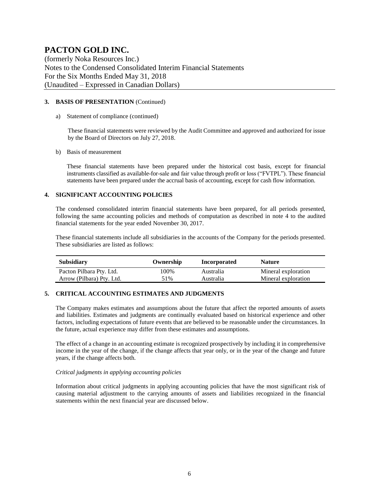(formerly Noka Resources Inc.) Notes to the Condensed Consolidated Interim Financial Statements For the Six Months Ended May 31, 2018 (Unaudited – Expressed in Canadian Dollars)

#### **3. BASIS OF PRESENTATION** (Continued)

a) Statement of compliance (continued)

These financial statements were reviewed by the Audit Committee and approved and authorized for issue by the Board of Directors on July 27, 2018.

b) Basis of measurement

These financial statements have been prepared under the historical cost basis, except for financial instruments classified as available-for-sale and fair value through profit or loss ("FVTPL"). These financial statements have been prepared under the accrual basis of accounting, except for cash flow information.

#### **4. SIGNIFICANT ACCOUNTING POLICIES**

The condensed consolidated interim financial statements have been prepared, for all periods presented, following the same accounting policies and methods of computation as described in note 4 to the audited financial statements for the year ended November 30, 2017.

These financial statements include all subsidiaries in the accounts of the Company for the periods presented. These subsidiaries are listed as follows:

| <b>Subsidiary</b>         | Ownership | Incorporated | <b>Nature</b>       |
|---------------------------|-----------|--------------|---------------------|
| Pacton Pilbara Pty. Ltd.  | 100%      | Australia    | Mineral exploration |
| Arrow (Pilbara) Pty. Ltd. | 51%       | Australia    | Mineral exploration |

#### **5. CRITICAL ACCOUNTING ESTIMATES AND JUDGMENTS**

The Company makes estimates and assumptions about the future that affect the reported amounts of assets and liabilities. Estimates and judgments are continually evaluated based on historical experience and other factors, including expectations of future events that are believed to be reasonable under the circumstances. In the future, actual experience may differ from these estimates and assumptions.

The effect of a change in an accounting estimate is recognized prospectively by including it in comprehensive income in the year of the change, if the change affects that year only, or in the year of the change and future years, if the change affects both.

#### *Critical judgments in applying accounting policies*

Information about critical judgments in applying accounting policies that have the most significant risk of causing material adjustment to the carrying amounts of assets and liabilities recognized in the financial statements within the next financial year are discussed below.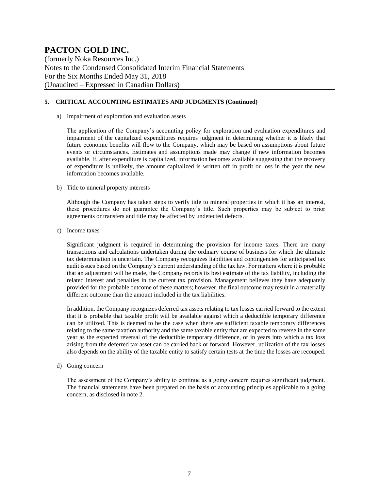(formerly Noka Resources Inc.) Notes to the Condensed Consolidated Interim Financial Statements For the Six Months Ended May 31, 2018 (Unaudited – Expressed in Canadian Dollars)

#### **5. CRITICAL ACCOUNTING ESTIMATES AND JUDGMENTS (Continued)**

a) Impairment of exploration and evaluation assets

The application of the Company's accounting policy for exploration and evaluation expenditures and impairment of the capitalized expenditures requires judgment in determining whether it is likely that future economic benefits will flow to the Company, which may be based on assumptions about future events or circumstances. Estimates and assumptions made may change if new information becomes available. If, after expenditure is capitalized, information becomes available suggesting that the recovery of expenditure is unlikely, the amount capitalized is written off in profit or loss in the year the new information becomes available.

#### b) Title to mineral property interests

Although the Company has taken steps to verify title to mineral properties in which it has an interest, these procedures do not guarantee the Company's title. Such properties may be subject to prior agreements or transfers and title may be affected by undetected defects.

c) Income taxes

Significant judgment is required in determining the provision for income taxes. There are many transactions and calculations undertaken during the ordinary course of business for which the ultimate tax determination is uncertain. The Company recognizes liabilities and contingencies for anticipated tax audit issues based on the Company's current understanding of the tax law. For matters where it is probable that an adjustment will be made, the Company records its best estimate of the tax liability, including the related interest and penalties in the current tax provision. Management believes they have adequately provided for the probable outcome of these matters; however, the final outcome may result in a materially different outcome than the amount included in the tax liabilities.

In addition, the Company recognizes deferred tax assets relating to tax losses carried forward to the extent that it is probable that taxable profit will be available against which a deductible temporary difference can be utilized. This is deemed to be the case when there are sufficient taxable temporary differences relating to the same taxation authority and the same taxable entity that are expected to reverse in the same year as the expected reversal of the deductible temporary difference, or in years into which a tax loss arising from the deferred tax asset can be carried back or forward. However, utilization of the tax losses also depends on the ability of the taxable entity to satisfy certain tests at the time the losses are recouped.

d) Going concern

The assessment of the Company's ability to continue as a going concern requires significant judgment. The financial statements have been prepared on the basis of accounting principles applicable to a going concern, as disclosed in note 2.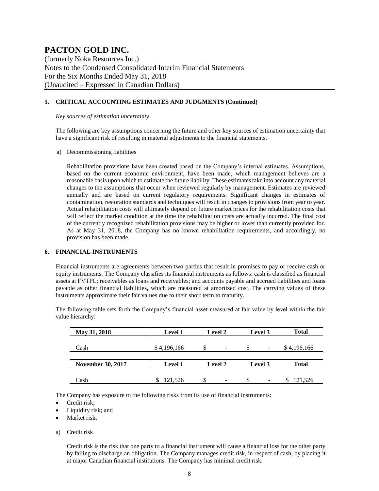(formerly Noka Resources Inc.) Notes to the Condensed Consolidated Interim Financial Statements For the Six Months Ended May 31, 2018 (Unaudited – Expressed in Canadian Dollars)

#### **5. CRITICAL ACCOUNTING ESTIMATES AND JUDGMENTS (Continued)**

#### *Key sources of estimation uncertainty*

The following are key assumptions concerning the future and other key sources of estimation uncertainty that have a significant risk of resulting in material adjustments to the financial statements.

a) Decommissioning liabilities

Rehabilitation provisions have been created based on the Company's internal estimates. Assumptions, based on the current economic environment, have been made, which management believes are a reasonable basis upon which to estimate the future liability. These estimates take into account any material changes to the assumptions that occur when reviewed regularly by management. Estimates are reviewed annually and are based on current regulatory requirements. Significant changes in estimates of contamination, restoration standards and techniques will result in changes to provisions from year to year. Actual rehabilitation costs will ultimately depend on future market prices for the rehabilitation costs that will reflect the market condition at the time the rehabilitation costs are actually incurred. The final cost of the currently recognized rehabilitation provisions may be higher or lower than currently provided for. As at May 31, 2018, the Company has no known rehabilitation requirements, and accordingly, no provision has been made.

#### **6. FINANCIAL INSTRUMENTS**

Financial instruments are agreements between two parties that result in promises to pay or receive cash or equity instruments. The Company classifies its financial instruments as follows: cash is classified as financial assets at FVTPL; receivables as loans and receivables; and accounts payable and accrued liabilities and loans payable as other financial liabilities, which are measured at amortized cost. The carrying values of these instruments approximate their fair values due to their short term to maturity.

The following table sets forth the Company's financial asset measured at fair value by level within the fair value hierarchy:

| May 31, 2018             | <b>Level 1</b> | <b>Level 2</b><br>Level 3 |                    | <b>Total</b> |
|--------------------------|----------------|---------------------------|--------------------|--------------|
| Cash                     | \$4,196,166    | S<br>-                    | <b>S</b><br>۰      | \$4,196,166  |
|                          |                |                           |                    |              |
| <b>November 30, 2017</b> | <b>Level 1</b> | Level 2                   | Level 3            | <b>Total</b> |
| Cash                     | 121.526        | \$                        | <sup>\$</sup><br>- | 121,526<br>S |

The Company has exposure to the following risks from its use of financial instruments:

- Credit risk;
- Liquidity risk; and
- Market risk.
- a) Credit risk

Credit risk is the risk that one party to a financial instrument will cause a financial loss for the other party by failing to discharge an obligation. The Company manages credit risk, in respect of cash, by placing it at major Canadian financial institutions. The Company has minimal credit risk.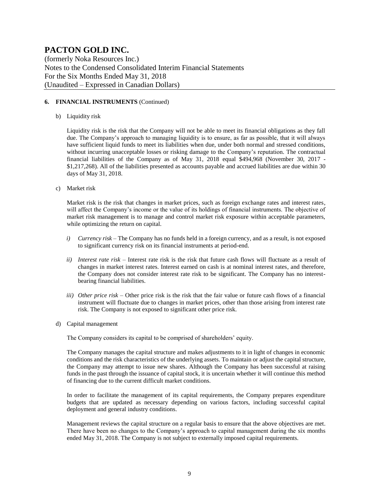(formerly Noka Resources Inc.) Notes to the Condensed Consolidated Interim Financial Statements For the Six Months Ended May 31, 2018 (Unaudited – Expressed in Canadian Dollars)

#### **6. FINANCIAL INSTRUMENTS** (Continued)

#### b) Liquidity risk

Liquidity risk is the risk that the Company will not be able to meet its financial obligations as they fall due. The Company's approach to managing liquidity is to ensure, as far as possible, that it will always have sufficient liquid funds to meet its liabilities when due, under both normal and stressed conditions, without incurring unacceptable losses or risking damage to the Company's reputation. The contractual financial liabilities of the Company as of May 31, 2018 equal \$494,968 (November 30, 2017 - \$1,217,268). All of the liabilities presented as accounts payable and accrued liabilities are due within 30 days of May 31, 2018.

c) Market risk

Market risk is the risk that changes in market prices, such as foreign exchange rates and interest rates, will affect the Company's income or the value of its holdings of financial instruments. The objective of market risk management is to manage and control market risk exposure within acceptable parameters, while optimizing the return on capital.

- *i*) *Currency risk* The Company has no funds held in a foreign currency, and as a result, is not exposed to significant currency risk on its financial instruments at period-end.
- *ii) Interest rate risk –* Interest rate risk is the risk that future cash flows will fluctuate as a result of changes in market interest rates. Interest earned on cash is at nominal interest rates, and therefore, the Company does not consider interest rate risk to be significant. The Company has no interestbearing financial liabilities.
- *iii) Other price risk –* Other price risk is the risk that the fair value or future cash flows of a financial instrument will fluctuate due to changes in market prices, other than those arising from interest rate risk. The Company is not exposed to significant other price risk.
- d) Capital management

The Company considers its capital to be comprised of shareholders' equity.

The Company manages the capital structure and makes adjustments to it in light of changes in economic conditions and the risk characteristics of the underlying assets. To maintain or adjust the capital structure, the Company may attempt to issue new shares. Although the Company has been successful at raising funds in the past through the issuance of capital stock, it is uncertain whether it will continue this method of financing due to the current difficult market conditions.

In order to facilitate the management of its capital requirements, the Company prepares expenditure budgets that are updated as necessary depending on various factors, including successful capital deployment and general industry conditions.

Management reviews the capital structure on a regular basis to ensure that the above objectives are met. There have been no changes to the Company's approach to capital management during the six months ended May 31, 2018. The Company is not subject to externally imposed capital requirements.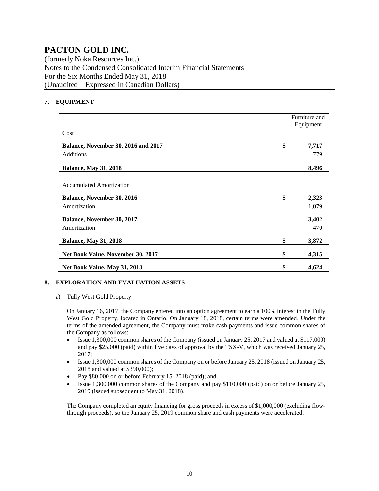(formerly Noka Resources Inc.) Notes to the Condensed Consolidated Interim Financial Statements For the Six Months Ended May 31, 2018 (Unaudited – Expressed in Canadian Dollars)

#### **7. EQUIPMENT**

|                                            | Furniture and<br>Equipment |
|--------------------------------------------|----------------------------|
| Cost                                       |                            |
| <b>Balance, November 30, 2016 and 2017</b> | \$<br>7,717                |
| Additions                                  | 779                        |
| <b>Balance, May 31, 2018</b>               | 8,496                      |
| <b>Accumulated Amortization</b>            |                            |
| Balance, November 30, 2016                 | \$<br>2,323                |
| Amortization                               | 1,079                      |
| <b>Balance, November 30, 2017</b>          | 3,402                      |
| Amortization                               | 470                        |
| <b>Balance, May 31, 2018</b>               | \$<br>3,872                |
| Net Book Value, November 30, 2017          | \$<br>4,315                |
| Net Book Value, May 31, 2018               | \$<br>4,624                |

#### **8. EXPLORATION AND EVALUATION ASSETS**

a) Tully West Gold Property

On January 16, 2017, the Company entered into an option agreement to earn a 100% interest in the Tully West Gold Property, located in Ontario. On January 18, 2018, certain terms were amended. Under the terms of the amended agreement, the Company must make cash payments and issue common shares of the Company as follows:

- Issue 1,300,000 common shares of the Company (issued on January 25, 2017 and valued at \$117,000) and pay \$25,000 (paid) within five days of approval by the TSX-V, which was received January 25, 2017;
- Issue 1,300,000 common shares of the Company on or before January 25, 2018 (issued on January 25, 2018 and valued at \$390,000);
- Pay \$80,000 on or before February 15, 2018 (paid); and
- Issue 1,300,000 common shares of the Company and pay \$110,000 (paid) on or before January 25, 2019 (issued subsequent to May 31, 2018).

The Company completed an equity financing for gross proceeds in excess of \$1,000,000 (excluding flowthrough proceeds), so the January 25, 2019 common share and cash payments were accelerated.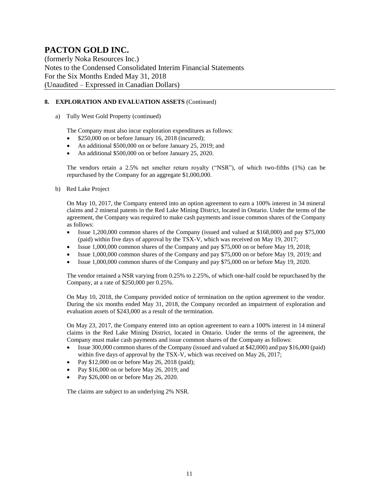(formerly Noka Resources Inc.) Notes to the Condensed Consolidated Interim Financial Statements For the Six Months Ended May 31, 2018 (Unaudited – Expressed in Canadian Dollars)

#### **8. EXPLORATION AND EVALUATION ASSETS** (Continued)

a) Tully West Gold Property (continued)

The Company must also incur exploration expenditures as follows:

- \$250,000 on or before January 16, 2018 (incurred);
- An additional \$500,000 on or before January 25, 2019; and
- An additional \$500,000 on or before January 25, 2020.

The vendors retain a 2.5% net smelter return royalty ("NSR"), of which two-fifths (1%) can be repurchased by the Company for an aggregate \$1,000,000.

b) Red Lake Project

On May 10, 2017, the Company entered into an option agreement to earn a 100% interest in 34 mineral claims and 2 mineral patents in the Red Lake Mining District, located in Ontario. Under the terms of the agreement, the Company was required to make cash payments and issue common shares of the Company as follows:

- Issue 1,200,000 common shares of the Company (issued and valued at \$168,000) and pay \$75,000 (paid) within five days of approval by the TSX-V, which was received on May 19, 2017;
- Issue 1,000,000 common shares of the Company and pay \$75,000 on or before May 19, 2018;
- Issue 1,000,000 common shares of the Company and pay \$75,000 on or before May 19, 2019; and
- Issue 1,000,000 common shares of the Company and pay \$75,000 on or before May 19, 2020.

The vendor retained a NSR varying from 0.25% to 2.25%, of which one-half could be repurchased by the Company, at a rate of \$250,000 per 0.25%.

On May 10, 2018, the Company provided notice of termination on the option agreement to the vendor. During the six months ended May 31, 2018, the Company recorded an impairment of exploration and evaluation assets of \$243,000 as a result of the termination.

On May 23, 2017, the Company entered into an option agreement to earn a 100% interest in 14 mineral claims in the Red Lake Mining District, located in Ontario. Under the terms of the agreement, the Company must make cash payments and issue common shares of the Company as follows:

- Issue 300,000 common shares of the Company (issued and valued at \$42,000) and pay \$16,000 (paid) within five days of approval by the TSX-V, which was received on May 26, 2017;
- Pay \$12,000 on or before May 26, 2018 (paid);
- Pay \$16,000 on or before May 26, 2019; and
- Pay \$26,000 on or before May 26, 2020.

The claims are subject to an underlying 2% NSR.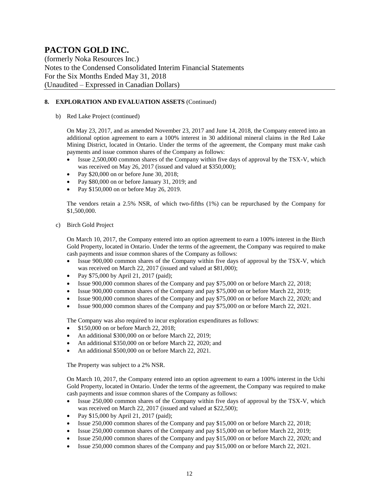(formerly Noka Resources Inc.) Notes to the Condensed Consolidated Interim Financial Statements For the Six Months Ended May 31, 2018 (Unaudited – Expressed in Canadian Dollars)

#### **8. EXPLORATION AND EVALUATION ASSETS** (Continued)

b) Red Lake Project (continued)

On May 23, 2017, and as amended November 23, 2017 and June 14, 2018, the Company entered into an additional option agreement to earn a 100% interest in 30 additional mineral claims in the Red Lake Mining District, located in Ontario. Under the terms of the agreement, the Company must make cash payments and issue common shares of the Company as follows:

- Issue 2,500,000 common shares of the Company within five days of approval by the TSX-V, which was received on May 26, 2017 (issued and valued at \$350,000);
- Pay \$20,000 on or before June 30, 2018;
- Pay \$80,000 on or before January 31, 2019; and
- Pay \$150,000 on or before May 26, 2019.

The vendors retain a 2.5% NSR, of which two-fifths (1%) can be repurchased by the Company for \$1,500,000.

c) Birch Gold Project

On March 10, 2017, the Company entered into an option agreement to earn a 100% interest in the Birch Gold Property, located in Ontario. Under the terms of the agreement, the Company was required to make cash payments and issue common shares of the Company as follows:

- Issue 900,000 common shares of the Company within five days of approval by the TSX-V, which was received on March 22, 2017 (issued and valued at \$81,000);
- Pay \$75,000 by April 21, 2017 (paid);
- Issue 900,000 common shares of the Company and pay \$75,000 on or before March 22, 2018;
- Issue 900,000 common shares of the Company and pay \$75,000 on or before March 22, 2019;
- Issue 900,000 common shares of the Company and pay \$75,000 on or before March 22, 2020; and
- Issue 900,000 common shares of the Company and pay \$75,000 on or before March 22, 2021.

The Company was also required to incur exploration expenditures as follows:

- \$150,000 on or before March 22, 2018;
- An additional \$300,000 on or before March 22, 2019;
- An additional \$350,000 on or before March 22, 2020; and
- An additional \$500,000 on or before March 22, 2021.

The Property was subject to a 2% NSR.

On March 10, 2017, the Company entered into an option agreement to earn a 100% interest in the Uchi Gold Property, located in Ontario. Under the terms of the agreement, the Company was required to make cash payments and issue common shares of the Company as follows:

- Issue 250,000 common shares of the Company within five days of approval by the TSX-V, which was received on March 22, 2017 (issued and valued at \$22,500);
- Pay \$15,000 by April 21, 2017 (paid);
- Issue 250,000 common shares of the Company and pay \$15,000 on or before March 22, 2018;
- Issue 250,000 common shares of the Company and pay \$15,000 on or before March 22, 2019;
- Issue 250,000 common shares of the Company and pay \$15,000 on or before March 22, 2020; and
- Issue 250,000 common shares of the Company and pay \$15,000 on or before March 22, 2021.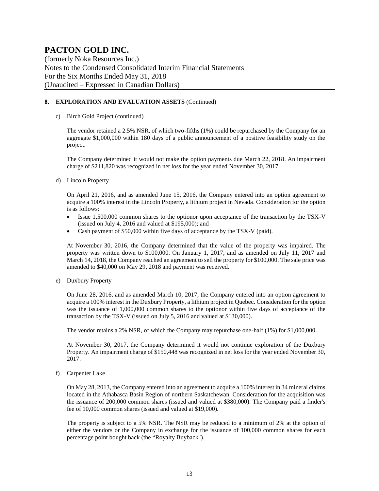(formerly Noka Resources Inc.) Notes to the Condensed Consolidated Interim Financial Statements For the Six Months Ended May 31, 2018 (Unaudited – Expressed in Canadian Dollars)

#### **8. EXPLORATION AND EVALUATION ASSETS** (Continued)

c) Birch Gold Project (continued)

The vendor retained a 2.5% NSR, of which two-fifths (1%) could be repurchased by the Company for an aggregate \$1,000,000 within 180 days of a public announcement of a positive feasibility study on the project.

The Company determined it would not make the option payments due March 22, 2018. An impairment charge of \$211,820 was recognized in net loss for the year ended November 30, 2017.

d) Lincoln Property

On April 21, 2016, and as amended June 15, 2016, the Company entered into an option agreement to acquire a 100% interest in the Lincoln Property, a lithium project in Nevada. Consideration for the option is as follows:

- Issue 1,500,000 common shares to the optionor upon acceptance of the transaction by the TSX-V (issued on July 4, 2016 and valued at \$195,000); and
- Cash payment of \$50,000 within five days of acceptance by the TSX-V (paid).

At November 30, 2016, the Company determined that the value of the property was impaired. The property was written down to \$100,000. On January 1, 2017, and as amended on July 11, 2017 and March 14, 2018, the Company reached an agreement to sell the property for \$100,000. The sale price was amended to \$40,000 on May 29, 2018 and payment was received.

e) Duxbury Property

On June 28, 2016, and as amended March 10, 2017, the Company entered into an option agreement to acquire a 100% interest in the Duxbury Property, a lithium project in Quebec. Consideration for the option was the issuance of 1,000,000 common shares to the optionor within five days of acceptance of the transaction by the TSX-V (issued on July 5, 2016 and valued at \$130,000).

The vendor retains a 2% NSR, of which the Company may repurchase one-half (1%) for \$1,000,000.

At November 30, 2017, the Company determined it would not continue exploration of the Duxbury Property. An impairment charge of \$150,448 was recognized in net loss for the year ended November 30, 2017.

f) Carpenter Lake

On May 28, 2013, the Company entered into an agreement to acquire a 100% interest in 34 mineral claims located in the Athabasca Basin Region of northern Saskatchewan. Consideration for the acquisition was the issuance of 200,000 common shares (issued and valued at \$380,000). The Company paid a finder's fee of 10,000 common shares (issued and valued at \$19,000).

The property is subject to a 5% NSR. The NSR may be reduced to a minimum of 2% at the option of either the vendors or the Company in exchange for the issuance of 100,000 common shares for each percentage point bought back (the "Royalty Buyback").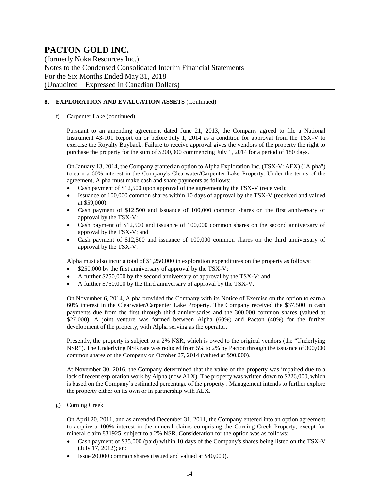(formerly Noka Resources Inc.) Notes to the Condensed Consolidated Interim Financial Statements For the Six Months Ended May 31, 2018 (Unaudited – Expressed in Canadian Dollars)

#### **8. EXPLORATION AND EVALUATION ASSETS** (Continued)

f) Carpenter Lake (continued)

Pursuant to an amending agreement dated June 21, 2013, the Company agreed to file a National Instrument 43-101 Report on or before July 1, 2014 as a condition for approval from the TSX-V to exercise the Royalty Buyback. Failure to receive approval gives the vendors of the property the right to purchase the property for the sum of \$200,000 commencing July 1, 2014 for a period of 180 days.

On January 13, 2014, the Company granted an option to Alpha Exploration Inc. (TSX-V: AEX) ("Alpha") to earn a 60% interest in the Company's Clearwater/Carpenter Lake Property. Under the terms of the agreement, Alpha must make cash and share payments as follows:

- Cash payment of \$12,500 upon approval of the agreement by the TSX-V (received);
- Issuance of 100,000 common shares within 10 days of approval by the TSX-V (received and valued at \$59,000);
- Cash payment of \$12,500 and issuance of 100,000 common shares on the first anniversary of approval by the TSX-V:
- Cash payment of \$12,500 and issuance of 100,000 common shares on the second anniversary of approval by the TSX-V; and
- Cash payment of \$12,500 and issuance of 100,000 common shares on the third anniversary of approval by the TSX-V.

Alpha must also incur a total of \$1,250,000 in exploration expenditures on the property as follows:

- \$250,000 by the first anniversary of approval by the TSX-V;
- A further \$250,000 by the second anniversary of approval by the TSX-V; and
- A further \$750,000 by the third anniversary of approval by the TSX-V.

On November 6, 2014, Alpha provided the Company with its Notice of Exercise on the option to earn a 60% interest in the Clearwater/Carpenter Lake Property. The Company received the \$37,500 in cash payments due from the first through third anniversaries and the 300,000 common shares (valued at \$27,000). A joint venture was formed between Alpha (60%) and Pacton (40%) for the further development of the property, with Alpha serving as the operator.

Presently, the property is subject to a 2% NSR, which is owed to the original vendors (the "Underlying NSR"). The Underlying NSR rate was reduced from 5% to 2% by Pacton through the issuance of 300,000 common shares of the Company on October 27, 2014 (valued at \$90,000).

At November 30, 2016, the Company determined that the value of the property was impaired due to a lack of recent exploration work by Alpha (now ALX). The property was written down to \$226,000, which is based on the Company's estimated percentage of the property . Management intends to further explore the property either on its own or in partnership with ALX.

g) Corning Creek

On April 20, 2011, and as amended December 31, 2011, the Company entered into an option agreement to acquire a 100% interest in the mineral claims comprising the Corning Creek Property, except for mineral claim 831925, subject to a 2% NSR. Consideration for the option was as follows:

- Cash payment of \$35,000 (paid) within 10 days of the Company's shares being listed on the TSX-V (July 17, 2012); and
- Issue 20,000 common shares (issued and valued at \$40,000).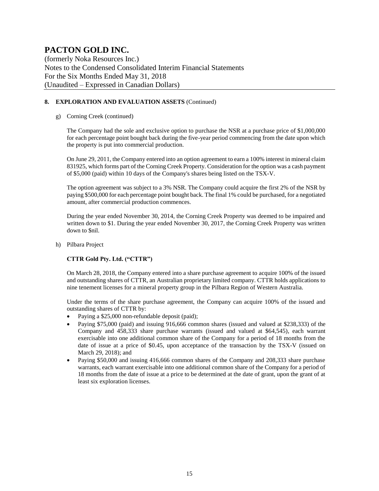(formerly Noka Resources Inc.) Notes to the Condensed Consolidated Interim Financial Statements For the Six Months Ended May 31, 2018 (Unaudited – Expressed in Canadian Dollars)

#### **8. EXPLORATION AND EVALUATION ASSETS** (Continued)

#### g) Corning Creek (continued)

The Company had the sole and exclusive option to purchase the NSR at a purchase price of \$1,000,000 for each percentage point bought back during the five-year period commencing from the date upon which the property is put into commercial production.

On June 29, 2011, the Company entered into an option agreement to earn a 100% interest in mineral claim 831925, which forms part of the Corning Creek Property. Consideration for the option was a cash payment of \$5,000 (paid) within 10 days of the Company's shares being listed on the TSX-V.

The option agreement was subject to a 3% NSR. The Company could acquire the first 2% of the NSR by paying \$500,000 for each percentage point bought back. The final 1% could be purchased, for a negotiated amount, after commercial production commences.

During the year ended November 30, 2014, the Corning Creek Property was deemed to be impaired and written down to \$1. During the year ended November 30, 2017, the Corning Creek Property was written down to \$nil.

#### h) Pilbara Project

#### **CTTR Gold Pty. Ltd. ("CTTR")**

On March 28, 2018, the Company entered into a share purchase agreement to acquire 100% of the issued and outstanding shares of CTTR, an Australian proprietary limited company. CTTR holds applications to nine tenement licenses for a mineral property group in the Pilbara Region of Western Australia.

Under the terms of the share purchase agreement, the Company can acquire 100% of the issued and outstanding shares of CTTR by:

- Paying a \$25,000 non-refundable deposit (paid);
- Paying \$75,000 (paid) and issuing 916,666 common shares (issued and valued at \$238,333) of the Company and 458,333 share purchase warrants (issued and valued at \$64,545), each warrant exercisable into one additional common share of the Company for a period of 18 months from the date of issue at a price of \$0.45, upon acceptance of the transaction by the TSX-V (issued on March 29, 2018); and
- Paying \$50,000 and issuing 416,666 common shares of the Company and 208,333 share purchase warrants, each warrant exercisable into one additional common share of the Company for a period of 18 months from the date of issue at a price to be determined at the date of grant, upon the grant of at least six exploration licenses.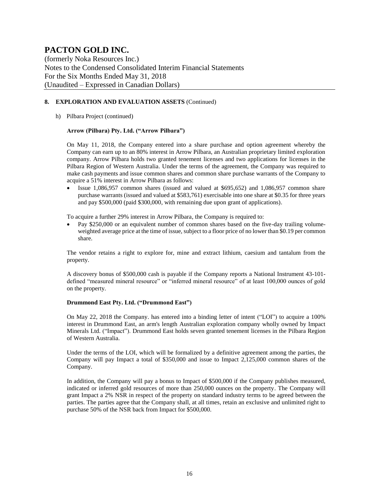(formerly Noka Resources Inc.) Notes to the Condensed Consolidated Interim Financial Statements For the Six Months Ended May 31, 2018 (Unaudited – Expressed in Canadian Dollars)

#### **8. EXPLORATION AND EVALUATION ASSETS** (Continued)

h) Pilbara Project (continued)

#### **Arrow (Pilbara) Pty. Ltd. ("Arrow Pilbara")**

On May 11, 2018, the Company entered into a share purchase and option agreement whereby the Company can earn up to an 80% interest in Arrow Pilbara, an Australian proprietary limited exploration company. Arrow Pilbara holds two granted tenement licenses and two applications for licenses in the Pilbara Region of Western Australia. Under the terms of the agreement, the Company was required to make cash payments and issue common shares and common share purchase warrants of the Company to acquire a 51% interest in Arrow Pilbara as follows:

• Issue 1,086,957 common shares (issued and valued at \$695,652) and 1,086,957 common share purchase warrants (issued and valued at \$583,761) exercisable into one share at \$0.35 for three years and pay \$500,000 (paid \$300,000, with remaining due upon grant of applications).

To acquire a further 29% interest in Arrow Pilbara, the Company is required to:

• Pay \$250,000 or an equivalent number of common shares based on the five-day trailing volumeweighted average price at the time of issue, subject to a floor price of no lower than \$0.19 per common share.

The vendor retains a right to explore for, mine and extract lithium, caesium and tantalum from the property.

A discovery bonus of \$500,000 cash is payable if the Company reports a National Instrument 43-101 defined "measured mineral resource" or "inferred mineral resource" of at least 100,000 ounces of gold on the property.

#### **Drummond East Pty. Ltd. ("Drummond East")**

On May 22, 2018 the Company. has entered into a binding letter of intent ("LOI") to acquire a 100% interest in Drummond East, an arm's length Australian exploration company wholly owned by Impact Minerals Ltd. ("Impact"). Drummond East holds seven granted tenement licenses in the Pilbara Region of Western Australia.

Under the terms of the LOI, which will be formalized by a definitive agreement among the parties, the Company will pay Impact a total of \$350,000 and issue to Impact 2,125,000 common shares of the Company.

In addition, the Company will pay a bonus to Impact of \$500,000 if the Company publishes measured, indicated or inferred gold resources of more than 250,000 ounces on the property. The Company will grant Impact a 2% NSR in respect of the property on standard industry terms to be agreed between the parties. The parties agree that the Company shall, at all times, retain an exclusive and unlimited right to purchase 50% of the NSR back from Impact for \$500,000.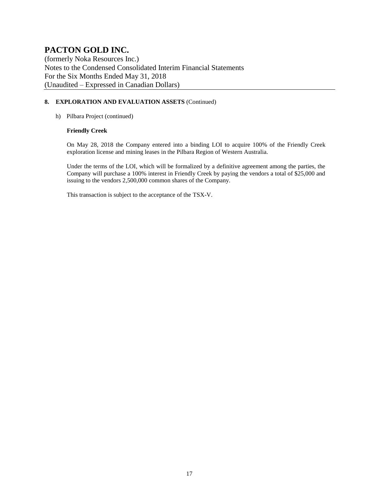(formerly Noka Resources Inc.) Notes to the Condensed Consolidated Interim Financial Statements For the Six Months Ended May 31, 2018 (Unaudited – Expressed in Canadian Dollars)

#### **8. EXPLORATION AND EVALUATION ASSETS** (Continued)

#### h) Pilbara Project (continued)

#### **Friendly Creek**

On May 28, 2018 the Company entered into a binding LOI to acquire 100% of the Friendly Creek exploration license and mining leases in the Pilbara Region of Western Australia.

Under the terms of the LOI, which will be formalized by a definitive agreement among the parties, the Company will purchase a 100% interest in Friendly Creek by paying the vendors a total of \$25,000 and issuing to the vendors 2,500,000 common shares of the Company.

This transaction is subject to the acceptance of the TSX-V.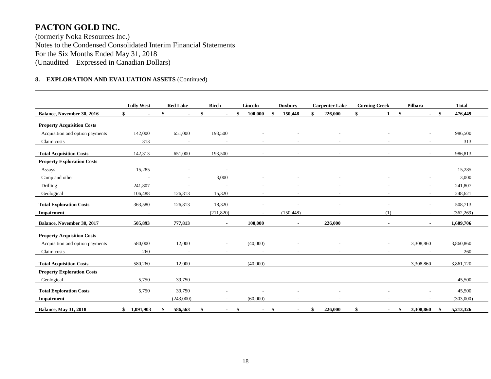(formerly Noka Resources Inc.) Notes to the Condensed Consolidated Interim Financial Statements For the Six Months Ended May 31, 2018 (Unaudited – Expressed in Canadian Dollars)

#### **8. EXPLORATION AND EVALUATION ASSETS** (Continued)

|                                   | <b>Tully West</b>        | <b>Red Lake</b>          | <b>Birch</b>             | Lincoln                  | <b>Duxbury</b>       | <b>Carpenter Lake</b> | <b>Corning Creek</b>           | Pilbara           | <b>Total</b> |
|-----------------------------------|--------------------------|--------------------------|--------------------------|--------------------------|----------------------|-----------------------|--------------------------------|-------------------|--------------|
| <b>Balance, November 30, 2016</b> | \$<br>$\blacksquare$     | \$<br>$\blacksquare$     |                          | 100,000                  | 150,448<br>\$        | \$<br>226,000         | \$<br>\$                       | \$<br>$\sim$      | 476,449      |
| <b>Property Acquisition Costs</b> |                          |                          |                          |                          |                      |                       |                                |                   |              |
| Acquisition and option payments   | 142,000                  | 651,000                  | 193,500                  |                          |                      |                       |                                |                   | 986,500      |
| Claim costs                       | 313                      | $\overline{\phantom{a}}$ |                          | $\overline{\phantom{a}}$ |                      |                       |                                |                   | 313          |
| <b>Total Acquisition Costs</b>    | 142,313                  | 651,000                  | 193,500                  |                          |                      |                       |                                |                   | 986,813      |
| <b>Property Exploration Costs</b> |                          |                          |                          |                          |                      |                       |                                |                   |              |
| Assays                            | 15,285                   |                          |                          |                          |                      |                       |                                |                   | 15,285       |
| Camp and other                    | $\overline{a}$           |                          | 3,000                    |                          |                      |                       |                                |                   | 3,000        |
| Drilling                          | 241,807                  |                          |                          |                          |                      |                       |                                |                   | 241,807      |
| Geological                        | 106,488                  | 126,813                  | 15,320                   |                          |                      |                       |                                |                   | 248,621      |
| <b>Total Exploration Costs</b>    | 363,580                  | 126,813                  | 18,320                   | ٠                        |                      |                       |                                | $\sim$            | 508,713      |
| Impairment                        | $\overline{\phantom{a}}$ | $\sim$                   | (211, 820)               | $\overline{\phantom{a}}$ | (150, 448)           |                       | (1)                            |                   | (362, 269)   |
| Balance, November 30, 2017        | 505,893                  | 777,813                  |                          | 100,000                  |                      | 226,000               |                                |                   | 1,609,706    |
| <b>Property Acquisition Costs</b> |                          |                          |                          |                          |                      |                       |                                |                   |              |
| Acquisition and option payments   | 580,000                  | 12,000                   | $\overline{\phantom{a}}$ | (40,000)                 |                      |                       |                                | 3,308,860         | 3,860,860    |
| Claim costs                       | 260                      |                          |                          |                          |                      |                       |                                |                   | 260          |
| <b>Total Acquisition Costs</b>    | 580,260                  | 12,000                   |                          | (40,000)                 |                      | ۰                     |                                | 3,308,860         | 3,861,120    |
| <b>Property Exploration Costs</b> |                          |                          |                          |                          |                      |                       |                                |                   |              |
| Geological                        | 5,750                    | 39,750                   |                          |                          |                      |                       |                                |                   | 45,500       |
|                                   |                          |                          |                          |                          |                      |                       |                                |                   |              |
| <b>Total Exploration Costs</b>    | 5,750                    | 39,750                   |                          |                          |                      |                       |                                |                   | 45,500       |
| <b>Impairment</b>                 |                          | (243,000)                |                          | (60,000)                 |                      |                       |                                |                   | (303,000)    |
| <b>Balance, May 31, 2018</b>      | 1,091,903<br>\$          | 586,563                  | \$                       | \$<br>$\blacksquare$     | \$<br>$\blacksquare$ | \$<br>226,000         | \$<br>$\overline{\phantom{0}}$ | 3,308,860<br>- \$ | 5,213,326    |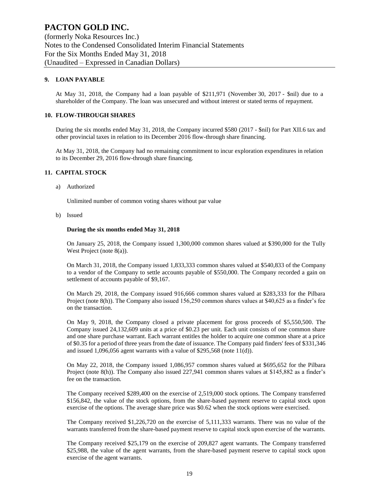(formerly Noka Resources Inc.) Notes to the Condensed Consolidated Interim Financial Statements For the Six Months Ended May 31, 2018 (Unaudited – Expressed in Canadian Dollars)

#### **9. LOAN PAYABLE**

At May 31, 2018, the Company had a loan payable of \$211,971 (November 30, 2017 - \$nil) due to a shareholder of the Company. The loan was unsecured and without interest or stated terms of repayment.

#### **10. FLOW-THROUGH SHARES**

During the six months ended May 31, 2018, the Company incurred \$580 (2017 - \$nil) for Part XII.6 tax and other provincial taxes in relation to its December 2016 flow-through share financing.

At May 31, 2018, the Company had no remaining commitment to incur exploration expenditures in relation to its December 29, 2016 flow-through share financing.

#### **11. CAPITAL STOCK**

a) Authorized

Unlimited number of common voting shares without par value

b) Issued

#### **During the six months ended May 31, 2018**

On January 25, 2018, the Company issued 1,300,000 common shares valued at \$390,000 for the Tully West Project (note 8(a)).

On March 31, 2018, the Company issued 1,833,333 common shares valued at \$540,833 of the Company to a vendor of the Company to settle accounts payable of \$550,000. The Company recorded a gain on settlement of accounts payable of \$9,167.

On March 29, 2018, the Company issued 916,666 common shares valued at \$283,333 for the Pilbara Project (note 8(h)). The Company also issued 156,250 common shares values at \$40,625 as a finder's fee on the transaction.

On May 9, 2018, the Company closed a private placement for gross proceeds of \$5,550,500. The Company issued 24,132,609 units at a price of \$0.23 per unit. Each unit consists of one common share and one share purchase warrant. Each warrant entitles the holder to acquire one common share at a price of \$0.35 for a period of three years from the date of issuance. The Company paid finders' fees of \$331,346 and issued 1,096,056 agent warrants with a value of \$295,568 (note 11(d)).

On May 22, 2018, the Company issued 1,086,957 common shares valued at \$695,652 for the Pilbara Project (note 8(h)). The Company also issued 227,941 common shares values at \$145,882 as a finder's fee on the transaction.

The Company received \$289,400 on the exercise of 2,519,000 stock options. The Company transferred \$156,842, the value of the stock options, from the share-based payment reserve to capital stock upon exercise of the options. The average share price was \$0.62 when the stock options were exercised.

The Company received \$1,226,720 on the exercise of 5,111,333 warrants. There was no value of the warrants transferred from the share-based payment reserve to capital stock upon exercise of the warrants.

The Company received \$25,179 on the exercise of 209,827 agent warrants. The Company transferred \$25,988, the value of the agent warrants, from the share-based payment reserve to capital stock upon exercise of the agent warrants.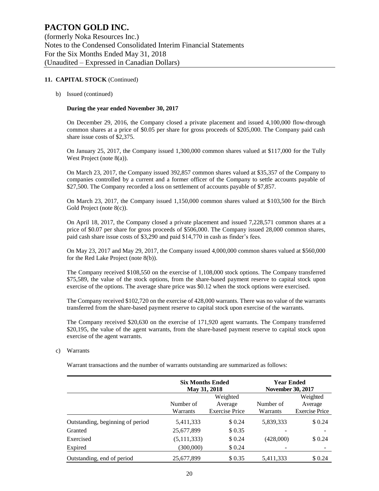(formerly Noka Resources Inc.) Notes to the Condensed Consolidated Interim Financial Statements For the Six Months Ended May 31, 2018 (Unaudited – Expressed in Canadian Dollars)

#### **11. CAPITAL STOCK** (Continued)

b) Issued (continued)

#### **During the year ended November 30, 2017**

On December 29, 2016, the Company closed a private placement and issued 4,100,000 flow-through common shares at a price of \$0.05 per share for gross proceeds of \$205,000. The Company paid cash share issue costs of \$2,375.

On January 25, 2017, the Company issued 1,300,000 common shares valued at \$117,000 for the Tully West Project (note 8(a)).

On March 23, 2017, the Company issued 392,857 common shares valued at \$35,357 of the Company to companies controlled by a current and a former officer of the Company to settle accounts payable of \$27,500. The Company recorded a loss on settlement of accounts payable of \$7,857.

On March 23, 2017, the Company issued 1,150,000 common shares valued at \$103,500 for the Birch Gold Project (note 8(c)).

On April 18, 2017, the Company closed a private placement and issued 7,228,571 common shares at a price of \$0.07 per share for gross proceeds of \$506,000. The Company issued 28,000 common shares, paid cash share issue costs of \$3,290 and paid \$14,770 in cash as finder's fees.

On May 23, 2017 and May 29, 2017, the Company issued 4,000,000 common shares valued at \$560,000 for the Red Lake Project (note 8(b)).

The Company received \$108,550 on the exercise of 1,108,000 stock options. The Company transferred \$75,589, the value of the stock options, from the share-based payment reserve to capital stock upon exercise of the options. The average share price was \$0.12 when the stock options were exercised.

The Company received \$102,720 on the exercise of 428,000 warrants. There was no value of the warrants transferred from the share-based payment reserve to capital stock upon exercise of the warrants.

The Company received \$20,630 on the exercise of 171,920 agent warrants. The Company transferred \$20,195, the value of the agent warrants, from the share-based payment reserve to capital stock upon exercise of the agent warrants.

#### c) Warrants

Warrant transactions and the number of warrants outstanding are summarized as follows:

|                                  | <b>Six Months Ended</b><br>May 31, 2018 |                       | <b>Year Ended</b><br><b>November 30, 2017</b> |                       |
|----------------------------------|-----------------------------------------|-----------------------|-----------------------------------------------|-----------------------|
|                                  |                                         | Weighted              |                                               | Weighted              |
|                                  | Number of                               | Average               | Number of                                     | Average               |
|                                  | Warrants                                | <b>Exercise Price</b> | Warrants                                      | <b>Exercise Price</b> |
| Outstanding, beginning of period | 5,411,333                               | \$0.24                | 5,839,333                                     | \$0.24                |
| Granted                          | 25,677,899                              | \$0.35                |                                               |                       |
| Exercised                        | (5, 111, 333)                           | \$0.24                | (428,000)                                     | \$0.24                |
| Expired                          | (300,000)                               | \$0.24                |                                               |                       |
| Outstanding, end of period       | 25.677.899                              | \$ 0.35               | 5,411,333                                     | \$ 0.24               |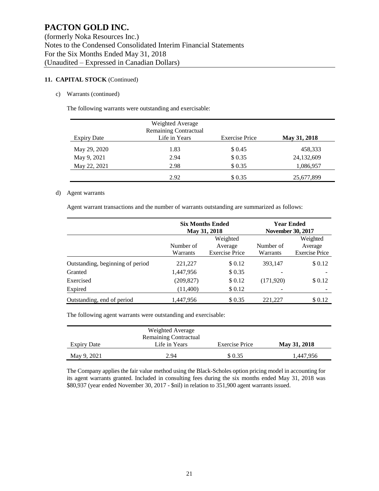#### **11. CAPITAL STOCK** (Continued)

#### c) Warrants (continued)

The following warrants were outstanding and exercisable:

| <b>Expiry Date</b> | Weighted Average<br><b>Remaining Contractual</b><br>Life in Years | <b>Exercise Price</b> | May 31, 2018 |
|--------------------|-------------------------------------------------------------------|-----------------------|--------------|
| May 29, 2020       | 1.83                                                              | \$ 0.45               | 458,333      |
| May 9, 2021        | 2.94                                                              | \$0.35                | 24,132,609   |
| May 22, 2021       | 2.98                                                              | \$0.35                | 1,086,957    |
|                    | 2.92                                                              | \$0.35                | 25,677,899   |

#### d) Agent warrants

Agent warrant transactions and the number of warrants outstanding are summarized as follows:

|                                  |                       | <b>Six Months Ended</b><br>May 31, 2018      | <b>Year Ended</b><br><b>November 30, 2017</b> |                                              |  |
|----------------------------------|-----------------------|----------------------------------------------|-----------------------------------------------|----------------------------------------------|--|
|                                  | Number of<br>Warrants | Weighted<br>Average<br><b>Exercise Price</b> | Number of<br>Warrants                         | Weighted<br>Average<br><b>Exercise Price</b> |  |
| Outstanding, beginning of period | 221,227               | \$0.12                                       | 393,147                                       | \$0.12                                       |  |
| Granted                          | 1,447,956             | \$0.35                                       |                                               |                                              |  |
| Exercised                        | (209, 827)            | \$0.12                                       | (171,920)                                     | \$0.12                                       |  |
| Expired                          | (11,400)              | \$0.12                                       |                                               |                                              |  |
| Outstanding, end of period       | 1,447,956             | \$ 0.35                                      | 221,227                                       | \$0.12                                       |  |

The following agent warrants were outstanding and exercisable:

| Weighted Average<br><b>Remaining Contractual</b> |               |                       |              |  |  |  |  |
|--------------------------------------------------|---------------|-----------------------|--------------|--|--|--|--|
| <b>Expiry Date</b>                               | Life in Years | <b>Exercise Price</b> | May 31, 2018 |  |  |  |  |
| May 9, 2021                                      | 2.94          | \$ 0.35               | 1,447,956    |  |  |  |  |

The Company applies the fair value method using the Black-Scholes option pricing model in accounting for its agent warrants granted. Included in consulting fees during the six months ended May 31, 2018 was \$80,937 (year ended November 30, 2017 - \$nil) in relation to 351,900 agent warrants issued.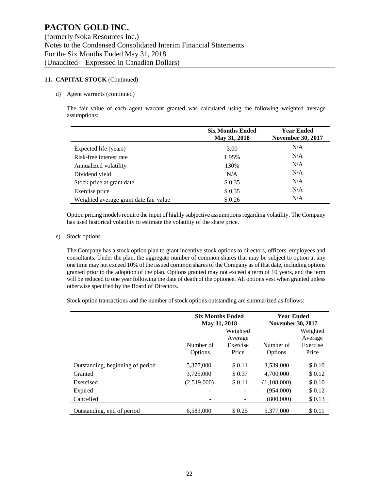#### **11. CAPITAL STOCK** (Continued)

#### d) Agent warrants (continued)

The fair value of each agent warrant granted was calculated using the following weighted average assumptions:

|                                        | <b>Six Months Ended</b><br>May 31, 2018 | <b>Year Ended</b><br><b>November 30, 2017</b> |  |  |
|----------------------------------------|-----------------------------------------|-----------------------------------------------|--|--|
| Expected life (years)                  | 3.00                                    | N/A                                           |  |  |
| Risk-free interest rate                | 1.95%                                   | N/A                                           |  |  |
| Annualized volatility                  | 130%                                    | N/A                                           |  |  |
| Dividend yield                         | N/A                                     | N/A                                           |  |  |
| Stock price at grant date              | \$0.35                                  | N/A                                           |  |  |
| Exercise price                         | \$ 0.35                                 | N/A                                           |  |  |
| Weighted average grant date fair value | \$0.26                                  | N/A                                           |  |  |

Option pricing models require the input of highly subjective assumptions regarding volatility. The Company has used historical volatility to estimate the volatility of the share price.

#### e) Stock options

The Company has a stock option plan to grant incentive stock options to directors, officers, employees and consultants. Under the plan, the aggregate number of common shares that may be subject to option at any one time may not exceed 10% of the issued common shares of the Company as of that date, including options granted prior to the adoption of the plan. Options granted may not exceed a term of 10 years, and the term will be reduced to one year following the date of death of the optionee. All options vest when granted unless otherwise specified by the Board of Directors.

Stock option transactions and the number of stock options outstanding are summarized as follows:

|                                  | <b>Six Months Ended</b><br>May 31, 2018 |          | <b>Year Ended</b><br><b>November 30, 2017</b> |          |  |
|----------------------------------|-----------------------------------------|----------|-----------------------------------------------|----------|--|
|                                  |                                         | Weighted |                                               | Weighted |  |
|                                  |                                         | Average  |                                               | Average  |  |
|                                  | Number of                               | Exercise | Number of                                     | Exercise |  |
|                                  | Options                                 | Price    | Options                                       | Price    |  |
| Outstanding, beginning of period | 5,377,000                               | \$0.11   | 3,539,000                                     | \$0.10   |  |
| Granted                          | 3,725,000                               | \$0.37   | 4,700,000                                     | \$0.12   |  |
| Exercised                        | (2,519,000)                             | \$0.11   | (1,108,000)                                   | \$0.10   |  |
| Expired                          | -                                       | ۰        | (954,000)                                     | \$0.12   |  |
| Cancelled                        |                                         |          | (800,000)                                     | \$0.13   |  |
| Outstanding, end of period       | 6,583,000                               | \$ 0.25  | 5,377,000                                     | \$0.11   |  |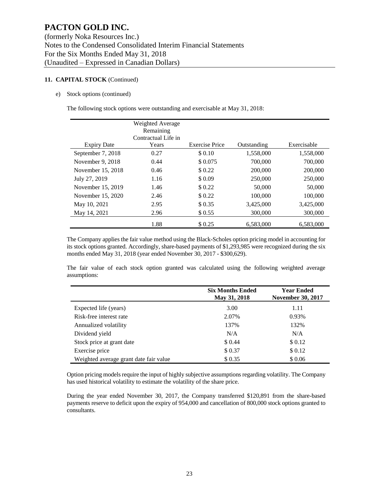#### **11. CAPITAL STOCK** (Continued)

e) Stock options (continued)

The following stock options were outstanding and exercisable at May 31, 2018:

|                    | Weighted Average<br>Remaining<br>Contractual Life in |                       |             |             |
|--------------------|------------------------------------------------------|-----------------------|-------------|-------------|
| <b>Expiry Date</b> | Years                                                | <b>Exercise Price</b> | Outstanding | Exercisable |
| September 7, 2018  | 0.27                                                 | \$0.10                | 1,558,000   | 1,558,000   |
| November 9, 2018   | 0.44                                                 | \$0.075               | 700,000     | 700,000     |
| November 15, 2018  | 0.46                                                 | \$0.22                | 200,000     | 200,000     |
| July 27, 2019      | 1.16                                                 | \$0.09                | 250,000     | 250,000     |
| November 15, 2019  | 1.46                                                 | \$ 0.22               | 50,000      | 50,000      |
| November 15, 2020  | 2.46                                                 | \$0.22                | 100,000     | 100,000     |
| May 10, 2021       | 2.95                                                 | \$0.35                | 3,425,000   | 3,425,000   |
| May 14, 2021       | 2.96                                                 | \$ 0.55               | 300,000     | 300,000     |
|                    | 1.88                                                 | \$ 0.25               | 6,583,000   | 6,583,000   |

The Company applies the fair value method using the Black-Scholes option pricing model in accounting for its stock options granted. Accordingly, share-based payments of \$1,293,985 were recognized during the six months ended May 31, 2018 (year ended November 30, 2017 - \$300,629).

The fair value of each stock option granted was calculated using the following weighted average assumptions:

|                                        | <b>Six Months Ended</b><br>May 31, 2018 | <b>Year Ended</b><br><b>November 30, 2017</b> |  |  |
|----------------------------------------|-----------------------------------------|-----------------------------------------------|--|--|
| Expected life (years)                  | 3.00                                    | 1.11                                          |  |  |
| Risk-free interest rate                | 2.07%                                   | 0.93%                                         |  |  |
| Annualized volatility                  | 137%                                    | 132%                                          |  |  |
| Dividend yield                         | N/A                                     | N/A                                           |  |  |
| Stock price at grant date              | \$ 0.44                                 | \$0.12                                        |  |  |
| Exercise price                         | \$0.37                                  | \$0.12                                        |  |  |
| Weighted average grant date fair value | \$0.35                                  | \$0.06                                        |  |  |

Option pricing models require the input of highly subjective assumptions regarding volatility. The Company has used historical volatility to estimate the volatility of the share price.

During the year ended November 30, 2017, the Company transferred \$120,891 from the share-based payments reserve to deficit upon the expiry of 954,000 and cancellation of 800,000 stock options granted to consultants.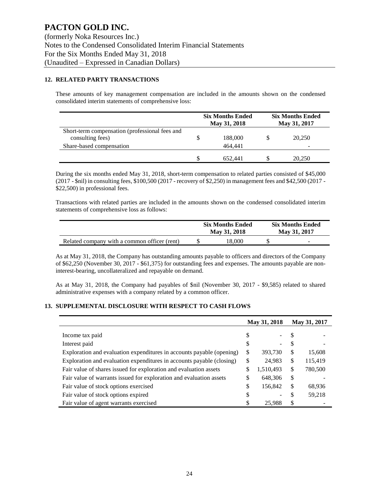#### **12. RELATED PARTY TRANSACTIONS**

These amounts of key management compensation are included in the amounts shown on the condensed consolidated interim statements of comprehensive loss:

|                                                                    | <b>Six Months Ended</b><br>May 31, 2018 | <b>Six Months Ended</b><br>May 31, 2017 |
|--------------------------------------------------------------------|-----------------------------------------|-----------------------------------------|
| Short-term compensation (professional fees and<br>consulting fees) | 188,000                                 | 20,250                                  |
| Share-based compensation                                           | 464.441                                 |                                         |
|                                                                    | 652.441                                 | 20,250                                  |

During the six months ended May 31, 2018, short-term compensation to related parties consisted of \$45,000 (2017 - \$nil) in consulting fees, \$100,500 (2017 - recovery of \$2,250) in management fees and \$42,500 (2017 - \$22,500) in professional fees.

Transactions with related parties are included in the amounts shown on the condensed consolidated interim statements of comprehensive loss as follows:

|                                              | <b>Six Months Ended</b><br>May 31, 2018 | <b>Six Months Ended</b><br>May 31, 2017 |   |  |
|----------------------------------------------|-----------------------------------------|-----------------------------------------|---|--|
| Related company with a common officer (rent) | 18.000                                  |                                         | - |  |

As at May 31, 2018, the Company has outstanding amounts payable to officers and directors of the Company of \$62,250 (November 30, 2017 - \$61,375) for outstanding fees and expenses. The amounts payable are noninterest-bearing, uncollateralized and repayable on demand.

As at May 31, 2018, the Company had payables of \$nil (November 30, 2017 - \$9,585) related to shared administrative expenses with a company related by a common officer.

#### **13. SUPPLEMENTAL DISCLOSURE WITH RESPECT TO CASH FLOWS**

|                                                                       |    | May 31, 2018 | May 31, 2017 |         |
|-----------------------------------------------------------------------|----|--------------|--------------|---------|
|                                                                       |    |              |              |         |
| Income tax paid                                                       | S  |              | S            |         |
| Interest paid                                                         |    | -            | S            |         |
| Exploration and evaluation expenditures in accounts payable (opening) | \$ | 393,730      | \$           | 15,608  |
| Exploration and evaluation expenditures in accounts payable (closing) | \$ | 24,983       | \$           | 115,419 |
| Fair value of shares issued for exploration and evaluation assets     | \$ | 1,510,493    | \$           | 780,500 |
| Fair value of warrants issued for exploration and evaluation assets   | \$ | 648,306      | \$           |         |
| Fair value of stock options exercised                                 | \$ | 156,842      | \$           | 68,936  |
| Fair value of stock options expired                                   | \$ |              | \$           | 59,218  |
| Fair value of agent warrants exercised                                |    | 25,988       | \$           |         |